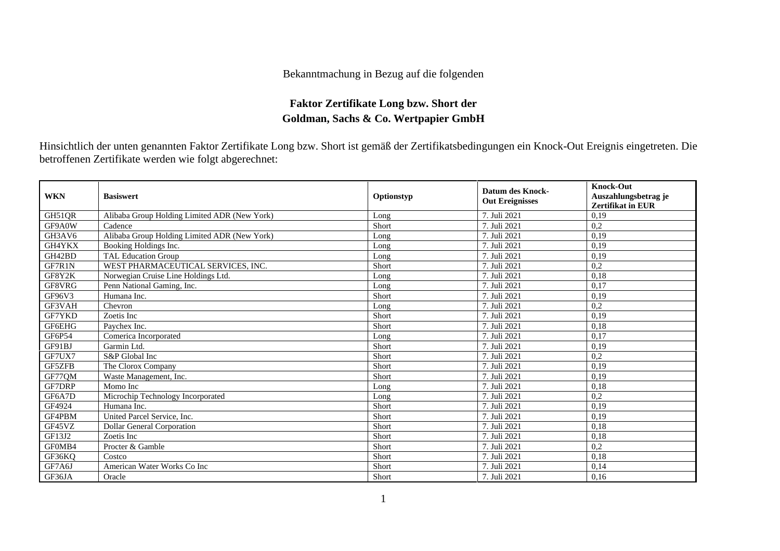## Bekanntmachung in Bezug auf die folgenden

## **Faktor Zertifikate Long bzw. Short der Goldman, Sachs & Co. Wertpapier GmbH**

Hinsichtlich der unten genannten Faktor Zertifikate Long bzw. Short ist gemäß der Zertifikatsbedingungen ein Knock-Out Ereignis eingetreten. Die betroffenen Zertifikate werden wie folgt abgerechnet:

| <b>WKN</b>    | <b>Basiswert</b>                             | Optionstyp | <b>Datum des Knock-</b><br><b>Out Ereignisses</b> | <b>Knock-Out</b><br>Auszahlungsbetrag je<br>Zertifikat in EUR |
|---------------|----------------------------------------------|------------|---------------------------------------------------|---------------------------------------------------------------|
| GH51QR        | Alibaba Group Holding Limited ADR (New York) | Long       | 7. Juli 2021                                      | 0,19                                                          |
| GF9A0W        | Cadence                                      | Short      | 7. Juli 2021                                      | 0,2                                                           |
| GH3AV6        | Alibaba Group Holding Limited ADR (New York) | Long       | 7. Juli 2021                                      | 0,19                                                          |
| GH4YKX        | Booking Holdings Inc.                        | Long       | 7. Juli 2021                                      | 0,19                                                          |
| GH42BD        | <b>TAL Education Group</b>                   | Long       | 7. Juli 2021                                      | 0,19                                                          |
| GF7R1N        | WEST PHARMACEUTICAL SERVICES, INC.           | Short      | 7. Juli 2021                                      | 0,2                                                           |
| GF8Y2K        | Norwegian Cruise Line Holdings Ltd.          | Long       | 7. Juli 2021                                      | 0,18                                                          |
| GF8VRG        | Penn National Gaming, Inc.                   | Long       | 7. Juli 2021                                      | 0,17                                                          |
| GF96V3        | Humana Inc.                                  | Short      | 7. Juli 2021                                      | 0.19                                                          |
| GF3VAH        | Chevron                                      | Long       | 7. Juli 2021                                      | 0,2                                                           |
| GF7YKD        | Zoetis Inc                                   | Short      | 7. Juli 2021                                      | 0,19                                                          |
| GF6EHG        | Paychex Inc.                                 | Short      | 7. Juli 2021                                      | 0.18                                                          |
| GF6P54        | Comerica Incorporated                        | Long       | 7. Juli 2021                                      | 0,17                                                          |
| GF91BJ        | Garmin Ltd.                                  | Short      | 7. Juli 2021                                      | 0,19                                                          |
| GF7UX7        | S&P Global Inc                               | Short      | 7. Juli 2021                                      | 0,2                                                           |
| GF5ZFB        | The Clorox Company                           | Short      | 7. Juli 2021                                      | 0,19                                                          |
| GF77QM        | Waste Management, Inc.                       | Short      | 7. Juli 2021                                      | 0.19                                                          |
| <b>GF7DRP</b> | Momo Inc                                     | Long       | 7. Juli 2021                                      | 0,18                                                          |
| GF6A7D        | Microchip Technology Incorporated            | Long       | 7. Juli 2021                                      | 0,2                                                           |
| GF4924        | Humana Inc.                                  | Short      | 7. Juli 2021                                      | 0,19                                                          |
| GF4PBM        | United Parcel Service, Inc.                  | Short      | 7. Juli 2021                                      | 0,19                                                          |
| GF45VZ        | <b>Dollar General Corporation</b>            | Short      | 7. Juli 2021                                      | 0,18                                                          |
| GF13J2        | Zoetis Inc                                   | Short      | 7. Juli 2021                                      | 0,18                                                          |
| GF0MB4        | Procter & Gamble                             | Short      | 7. Juli 2021                                      | 0,2                                                           |
| GF36KQ        | Costco                                       | Short      | 7. Juli 2021                                      | 0,18                                                          |
| GF7A6J        | American Water Works Co Inc                  | Short      | 7. Juli 2021                                      | 0,14                                                          |
| GF36JA        | Oracle                                       | Short      | 7. Juli 2021                                      | 0,16                                                          |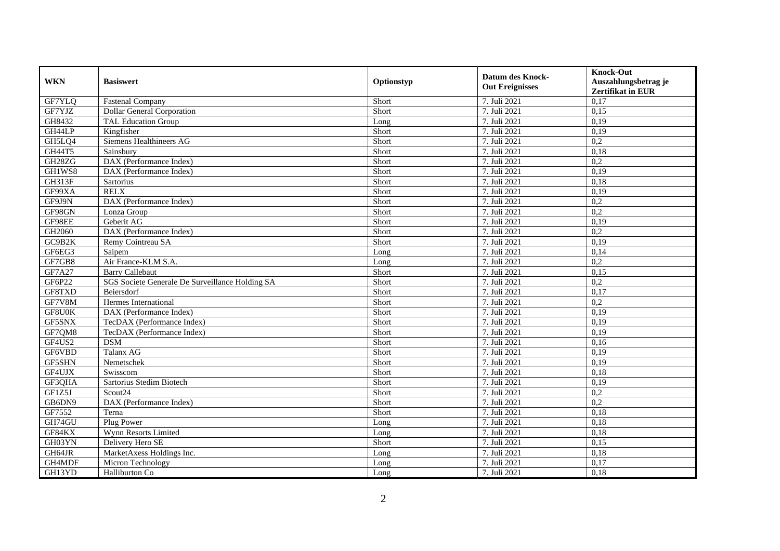| <b>WKN</b>          | <b>Basiswert</b>                                | Optionstyp | <b>Datum des Knock-</b><br><b>Out Ereignisses</b> | <b>Knock-Out</b><br>Auszahlungsbetrag je<br>Zertifikat in EUR |
|---------------------|-------------------------------------------------|------------|---------------------------------------------------|---------------------------------------------------------------|
| GF7YLQ              | <b>Fastenal Company</b>                         | Short      | 7. Juli 2021                                      | 0,17                                                          |
| GF7YJZ              | Dollar General Corporation                      | Short      | 7. Juli 2021                                      | 0,15                                                          |
| GH8432              | <b>TAL Education Group</b>                      | Long       | 7. Juli 2021                                      | 0,19                                                          |
| GH44LP              | Kingfisher                                      | Short      | 7. Juli 2021                                      | 0,19                                                          |
| GH5LQ4              | Siemens Healthineers AG                         | Short      | 7. Juli 2021                                      | 0,2                                                           |
| GH44T5              | Sainsbury                                       | Short      | 7. Juli 2021                                      | 0,18                                                          |
| GH <sub>28</sub> ZG | DAX (Performance Index)                         | Short      | 7. Juli 2021                                      | 0,2                                                           |
| GH1WS8              | DAX (Performance Index)                         | Short      | 7. Juli 2021                                      | 0,19                                                          |
| <b>GH313F</b>       | Sartorius                                       | Short      | 7. Juli 2021                                      | 0,18                                                          |
| GF99XA              | <b>RELX</b>                                     | Short      | 7. Juli 2021                                      | 0,19                                                          |
| GF9J9N              | DAX (Performance Index)                         | Short      | 7. Juli 2021                                      | 0,2                                                           |
| GF98GN              | Lonza Group                                     | Short      | 7. Juli 2021                                      | 0,2                                                           |
| GF98EE              | Geberit AG                                      | Short      | 7. Juli 2021                                      | 0,19                                                          |
| GH2060              | DAX (Performance Index)                         | Short      | 7. Juli 2021                                      | 0,2                                                           |
| GC9B2K              | Remy Cointreau SA                               | Short      | 7. Juli 2021                                      | 0,19                                                          |
| GF6EG3              | Saipem                                          | Long       | 7. Juli 2021                                      | 0,14                                                          |
| GF7GB8              | Air France-KLM S.A.                             | Long       | 7. Juli 2021                                      | 0,2                                                           |
| GF7A27              | <b>Barry Callebaut</b>                          | Short      | 7. Juli 2021                                      | 0,15                                                          |
| GF6P22              | SGS Societe Generale De Surveillance Holding SA | Short      | 7. Juli 2021                                      | 0,2                                                           |
| GF8TXD              | Beiersdorf                                      | Short      | 7. Juli 2021                                      | 0,17                                                          |
| GF7V8M              | Hermes International                            | Short      | 7. Juli 2021                                      | 0,2                                                           |
| GF8U0K              | DAX (Performance Index)                         | Short      | 7. Juli 2021                                      | 0,19                                                          |
| GF5SNX              | TecDAX (Performance Index)                      | Short      | 7. Juli 2021                                      | 0,19                                                          |
| GF7QM8              | TecDAX (Performance Index)                      | Short      | 7. Juli 2021                                      | 0,19                                                          |
| GF4US2              | <b>DSM</b>                                      | Short      | 7. Juli 2021                                      | 0,16                                                          |
| GF6VBD              | Talanx AG                                       | Short      | 7. Juli 2021                                      | 0,19                                                          |
| GF5SHN              | Nemetschek                                      | Short      | 7. Juli 2021                                      | 0,19                                                          |
| GF4UJX              | Swisscom                                        | Short      | 7. Juli 2021                                      | 0,18                                                          |
| GF3QHA              | Sartorius Stedim Biotech                        | Short      | 7. Juli 2021                                      | 0,19                                                          |
| GF1Z5J              | Scout <sub>24</sub>                             | Short      | 7. Juli 2021                                      | 0,2                                                           |
| GB6DN9              | DAX (Performance Index)                         | Short      | 7. Juli 2021                                      | 0,2                                                           |
| GF7552              | Terna                                           | Short      | 7. Juli 2021                                      | 0,18                                                          |
| GH74GU              | Plug Power                                      | Long       | 7. Juli 2021                                      | 0,18                                                          |
| GF84KX              | Wynn Resorts Limited                            | Long       | 7. Juli 2021                                      | 0,18                                                          |
| GH03YN              | Delivery Hero SE                                | Short      | 7. Juli 2021                                      | 0,15                                                          |
| GH64JR              | MarketAxess Holdings Inc.                       | Long       | 7. Juli 2021                                      | 0,18                                                          |
| GH4MDF              | Micron Technology                               | Long       | 7. Juli 2021                                      | 0,17                                                          |
| GH13YD              | Halliburton Co                                  | Long       | 7. Juli 2021                                      | 0,18                                                          |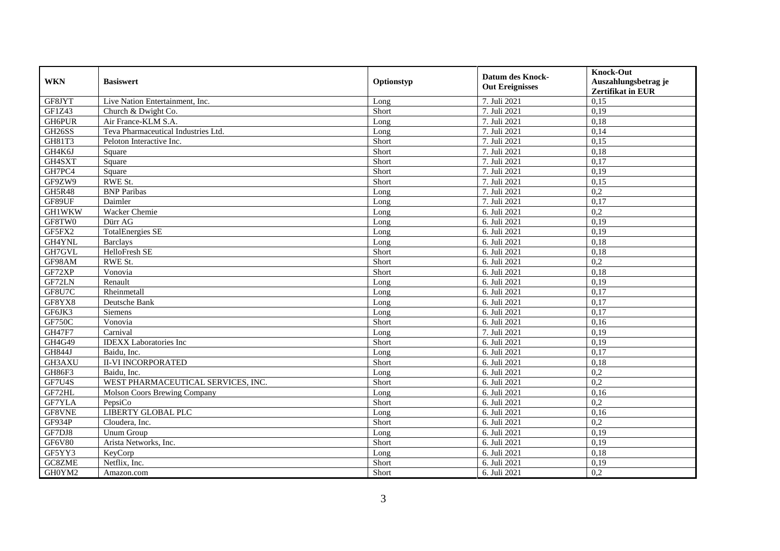| <b>WKN</b>    | <b>Basiswert</b>                    | Optionstyp | <b>Datum des Knock-</b><br><b>Out Ereignisses</b> | <b>Knock-Out</b><br>Auszahlungsbetrag je<br>Zertifikat in EUR |
|---------------|-------------------------------------|------------|---------------------------------------------------|---------------------------------------------------------------|
| GF8JYT        | Live Nation Entertainment, Inc.     | Long       | 7. Juli 2021                                      | 0,15                                                          |
| GF1Z43        | Church & Dwight Co.                 | Short      | 7. Juli 2021                                      | 0,19                                                          |
| GH6PUR        | Air France-KLM S.A.                 | Long       | 7. Juli 2021                                      | 0.18                                                          |
| GH26SS        | Teva Pharmaceutical Industries Ltd. | Long       | 7. Juli 2021                                      | 0,14                                                          |
| GH81T3        | Peloton Interactive Inc.            | Short      | 7. Juli 2021                                      | 0,15                                                          |
| GH4K6J        | Square                              | Short      | 7. Juli 2021                                      | 0,18                                                          |
| GH4SXT        | Square                              | Short      | 7. Juli 2021                                      | 0,17                                                          |
| GH7PC4        | Square                              | Short      | 7. Juli 2021                                      | 0,19                                                          |
| GF9ZW9        | RWE St.                             | Short      | 7. Juli 2021                                      | 0,15                                                          |
| GH5R48        | <b>BNP</b> Paribas                  | Long       | 7. Juli 2021                                      | 0,2                                                           |
| GF89UF        | Daimler                             | Long       | 7. Juli 2021                                      | 0,17                                                          |
| <b>GH1WKW</b> | Wacker Chemie                       | Long       | 6. Juli 2021                                      | 0,2                                                           |
| GF8TW0        | Dürr AG                             | Long       | 6. Juli 2021                                      | 0,19                                                          |
| GF5FX2        | <b>TotalEnergies SE</b>             | Long       | 6. Juli 2021                                      | 0,19                                                          |
| GH4YNL        | <b>Barclays</b>                     | Long       | 6. Juli 2021                                      | 0.18                                                          |
| GH7GVL        | HelloFresh SE                       | Short      | 6. Juli 2021                                      | 0,18                                                          |
| GF98AM        | <b>RWE St.</b>                      | Short      | 6. Juli 2021                                      | 0,2                                                           |
| GF72XP        | Vonovia                             | Short      | 6. Juli 2021                                      | 0,18                                                          |
| GF72LN        | Renault                             | Long       | 6. Juli 2021                                      | 0,19                                                          |
| GF8U7C        | Rheinmetall                         | Long       | 6. Juli 2021                                      | 0,17                                                          |
| GF8YX8        | Deutsche Bank                       | Long       | 6. Juli 2021                                      | 0,17                                                          |
| GF6JK3        | <b>Siemens</b>                      | Long       | 6. Juli 2021                                      | 0,17                                                          |
| <b>GF750C</b> | Vonovia                             | Short      | 6. Juli 2021                                      | 0,16                                                          |
| <b>GH47F7</b> | Carnival                            | Long       | 7. Juli 2021                                      | 0,19                                                          |
| GH4G49        | <b>IDEXX</b> Laboratories Inc       | Short      | 6. Juli 2021                                      | 0,19                                                          |
| <b>GH844J</b> | Baidu, Inc.                         | Long       | 6. Juli 2021                                      | 0,17                                                          |
| GH3AXU        | <b>II-VI INCORPORATED</b>           | Short      | 6. Juli 2021                                      | 0,18                                                          |
| GH86F3        | Baidu, Inc.                         | Long       | 6. Juli 2021                                      | 0,2                                                           |
| GF7U4S        | WEST PHARMACEUTICAL SERVICES, INC.  | Short      | 6. Juli 2021                                      | $\overline{0.2}$                                              |
| GF72HL        | <b>Molson Coors Brewing Company</b> | Long       | 6. Juli 2021                                      | 0,16                                                          |
| GF7YLA        | PepsiCo                             | Short      | 6. Juli 2021                                      | 0,2                                                           |
| GF8VNE        | <b>LIBERTY GLOBAL PLC</b>           | Long       | 6. Juli 2021                                      | 0,16                                                          |
| GF934P        | Cloudera, Inc.                      | Short      | 6. Juli 2021                                      | 0,2                                                           |
| GF7DJ8        | <b>Unum Group</b>                   | Long       | 6. Juli 2021                                      | 0,19                                                          |
| GF6V80        | Arista Networks, Inc.               | Short      | 6. Juli 2021                                      | 0,19                                                          |
| GF5YY3        | KeyCorp                             | Long       | 6. Juli 2021                                      | 0,18                                                          |
| GC8ZME        | Netflix, Inc.                       | Short      | 6. Juli 2021                                      | 0,19                                                          |
| GH0YM2        | Amazon.com                          | Short      | 6. Juli 2021                                      | 0,2                                                           |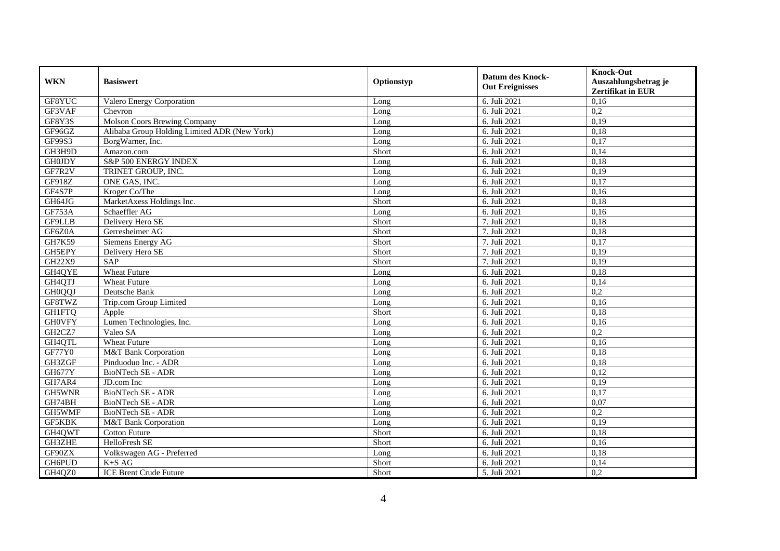| <b>WKN</b>    | <b>Basiswert</b>                             | Optionstyp | <b>Datum des Knock-</b><br><b>Out Ereignisses</b> | <b>Knock-Out</b><br>Auszahlungsbetrag je<br>Zertifikat in EUR |
|---------------|----------------------------------------------|------------|---------------------------------------------------|---------------------------------------------------------------|
| GF8YUC        | Valero Energy Corporation                    | Long       | 6. Juli 2021                                      | 0,16                                                          |
| GF3VAF        | Chevron                                      | Long       | 6. Juli 2021                                      | 0,2                                                           |
| GF8Y3S        | Molson Coors Brewing Company                 | Long       | 6. Juli 2021                                      | 0,19                                                          |
| GF96GZ        | Alibaba Group Holding Limited ADR (New York) | Long       | 6. Juli 2021                                      | 0,18                                                          |
| GF99S3        | BorgWarner, Inc.                             | Long       | 6. Juli 2021                                      | 0,17                                                          |
| GH3H9D        | Amazon.com                                   | Short      | 6. Juli 2021                                      | 0,14                                                          |
| <b>GH0JDY</b> | S&P 500 ENERGY INDEX                         | Long       | 6. Juli 2021                                      | 0,18                                                          |
| GF7R2V        | TRINET GROUP, INC.                           | Long       | 6. Juli 2021                                      | 0,19                                                          |
| GF918Z        | ONE GAS, INC.                                | Long       | 6. Juli 2021                                      | 0,17                                                          |
| GF4S7P        | Kroger Co/The                                | Long       | 6. Juli 2021                                      | 0,16                                                          |
| GH64JG        | MarketAxess Holdings Inc.                    | Short      | 6. Juli 2021                                      | 0,18                                                          |
| GF753A        | Schaeffler AG                                | Long       | 6. Juli 2021                                      | 0,16                                                          |
| GF9LLB        | Delivery Hero SE                             | Short      | 7. Juli 2021                                      | 0,18                                                          |
| GF6Z0A        | Gerresheimer AG                              | Short      | 7. Juli 2021                                      | 0,18                                                          |
| GH7K59        | Siemens Energy AG                            | Short      | 7. Juli 2021                                      | 0,17                                                          |
| GH5EPY        | Delivery Hero SE                             | Short      | 7. Juli 2021                                      | 0,19                                                          |
| GH22X9        | SAP                                          | Short      | 7. Juli 2021                                      | 0,19                                                          |
| GH4QYE        | Wheat Future                                 | Long       | 6. Juli 2021                                      | 0,18                                                          |
| GH4QTJ        | <b>Wheat Future</b>                          | Long       | 6. Juli 2021                                      | 0,14                                                          |
| <b>GH0QQJ</b> | Deutsche Bank                                | Long       | 6. Juli 2021                                      | 0,2                                                           |
| GF8TWZ        | Trip.com Group Limited                       | Long       | 6. Juli 2021                                      | 0,16                                                          |
| <b>GH1FTQ</b> | Apple                                        | Short      | 6. Juli 2021                                      | 0,18                                                          |
| <b>GHOVFY</b> | Lumen Technologies, Inc.                     | Long       | 6. Juli 2021                                      | 0,16                                                          |
| GH2CZ7        | Valeo SA                                     | Long       | 6. Juli 2021                                      | 0,2                                                           |
| GH4QTL        | <b>Wheat Future</b>                          | Long       | 6. Juli 2021                                      | 0,16                                                          |
| GF77Y0        | M&T Bank Corporation                         | Long       | 6. Juli 2021                                      | 0,18                                                          |
| GH3ZGF        | Pinduoduo Inc. - ADR                         | Long       | 6. Juli 2021                                      | 0,18                                                          |
| <b>GH677Y</b> | <b>BioNTech SE - ADR</b>                     | Long       | 6. Juli 2021                                      | 0,12                                                          |
| GH7AR4        | JD.com Inc                                   | Long       | 6. Juli 2021                                      | 0,19                                                          |
| GH5WNR        | BioNTech SE - ADR                            | Long       | 6. Juli $2021$                                    | 0,17                                                          |
| GH74BH        | BioNTech SE - ADR                            | Long       | 6. Juli 2021                                      | 0,07                                                          |
| GH5WMF        | BioNTech SE - ADR                            | Long       | 6. Juli 2021                                      | 0,2                                                           |
| GF5KBK        | M&T Bank Corporation                         | Long       | 6. Juli 2021                                      | 0,19                                                          |
| GH4QWT        | <b>Cotton Future</b>                         | Short      | 6. Juli 2021                                      | 0,18                                                          |
| GH3ZHE        | <b>HelloFresh SE</b>                         | Short      | 6. Juli 2021                                      | 0,16                                                          |
| GF90ZX        | Volkswagen AG - Preferred                    | Long       | 6. Juli 2021                                      | 0,18                                                          |
| GH6PUD        | $K+SAG$                                      | Short      | 6. Juli 2021                                      | 0,14                                                          |
| GH4QZ0        | <b>ICE Brent Crude Future</b>                | Short      | 5. Juli 2021                                      | 0,2                                                           |